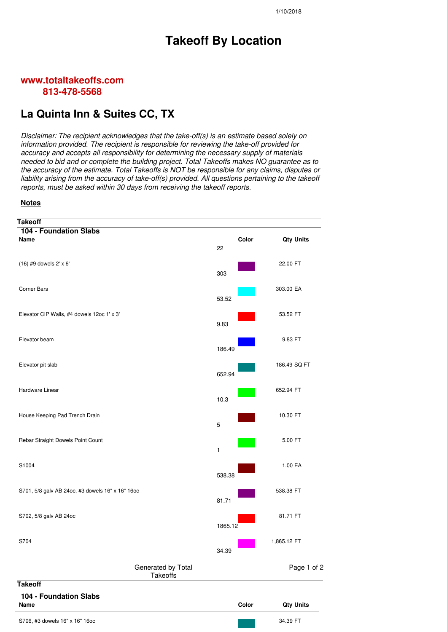## **Takeoff By Location**

## **www.totaltakeoffs.com 813-478-5568**

## **La Quinta Inn & Suites CC, TX**

*Disclaimer: The recipient acknowledges that the take-off(s) is an estimate based solely on information provided. The recipient is responsible for reviewing the take-off provided for accuracy and accepts all responsibility for determining the necessary supply of materials needed to bid and or complete the building project. Total Takeoffs makes NO guarantee as to the accuracy of the estimate. Total Takeoffs is NOT be responsible for any claims, disputes or liability arising from the accuracy of take-off(s) provided. All questions pertaining to the takeoff reports, must be asked within 30 days from receiving the takeoff reports.*

## **Notes**

| <b>Takeoff</b>                                   |             |                  |
|--------------------------------------------------|-------------|------------------|
| <b>104 - Foundation Slabs</b><br>Name            | Color<br>22 | <b>Qty Units</b> |
| (16) #9 dowels 2' x 6'                           | 303         | 22.00 FT         |
| <b>Corner Bars</b>                               | 53.52       | 303.00 EA        |
| Elevator CIP Walls, #4 dowels 12oc 1' x 3'       | 9.83        | 53.52 FT         |
| Elevator beam                                    | 186.49      | 9.83 FT          |
| Elevator pit slab                                | 652.94      | 186.49 SQ FT     |
| Hardware Linear                                  | 10.3        | 652.94 FT        |
| House Keeping Pad Trench Drain                   | $\mathbf 5$ | 10.30 FT         |
| Rebar Straight Dowels Point Count                | 1           | 5.00 FT          |
| S1004                                            | 538.38      | 1.00 EA          |
| S701, 5/8 galv AB 24oc, #3 dowels 16" x 16" 16oc | 81.71       | 538.38 FT        |
| S702, 5/8 galv AB 24oc                           | 1865.12     | 81.71 FT         |
| S704                                             | 34.39       | 1,865.12 FT      |
| Generated by Total<br>Takeoffs                   |             | Page 1 of 2      |
| <b>Takeoff</b>                                   |             |                  |
| <b>104 - Foundation Slabs</b><br>Name            | Color       | <b>Qty Units</b> |
| S706, #3 dowels 16" x 16" 16oc                   |             | 34.39 FT         |